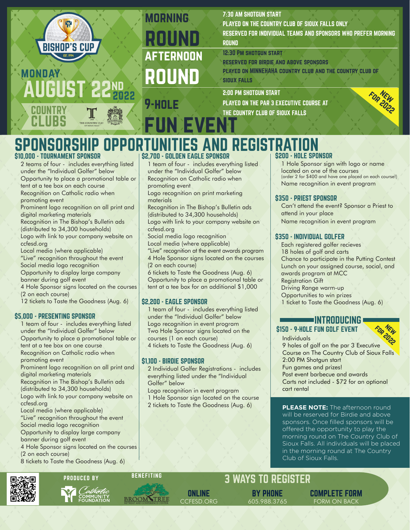

# morning round afternoon round

7:30 AM SHOTGUN START

PLAYED ON THE COUNTRY CLUB OF SIOUX FALLS ONLY

RESERVED FOR INDIVIDUAL TEAMS AND SPONSORS WHO PREFER MORNING ROUND

12:30 Pm shotgun start

reserved for birdie and above sponsors

played on MINNEHAHA country club and the country club of

2:00 PM SHOTGUN START



# \$2,700 - GOLDEN EAGLE SPONSOR SPONSORSHIP OPPORTUNITIES AND REGISTRATION

9-hole

### \$10,000 - TOURNAMENT SPONSOR

- 2 teams of four includes everything listed under the "Individual Golfer" below
- Opportunity to place a promotional table or tent at a tee box on each course
- Recognition on Catholic radio when promoting event
- Prominent logo recognition on all print and digital marketing materials
- Recognition in The Bishop's Bulletin ads (distributed to 34,300 households)
- Logo with link to your company website on ccfesd.org
- Local media (where applicable)
- "Live" recognition throughout the event
- Social media logo recognition
- Opportunity to display large company banner during golf event
- 4 Hole Sponsor signs located on the courses (2 on each course)
- 12 tickets to Taste the Goodness (Aug. 6)

#### \$5,000 - PRESENTING SPONSOR

- 1 team of four includes everything listed under the "Individual Golfer" below
- Opportunity to place a promotional table or tent at a tee box on one course
- Recognition on Catholic radio when promoting event
- Prominent logo recognition on all print and digital marketing materials
- Recognition in The Bishop's Bulletin ads (distributed to 34,300 households)
- Logo with link to your company website on ccfesd.org
- Local media (where applicable)
- "Live" recognition throughout the event
- Social media logo recognition
- Opportunity to display large company banner during golf event
- 4 Hole Sponsor signs located on the courses (2 on each course)
- 8 tickets to Taste the Goodness (Aug. 6)



# **BENEFITING**



# • 1 team of four - includes everything listed

- under the "Individual Golfer" below
- Recognition on Catholic radio when promoting event
- Logo recognition on print marketing materials
- Recognition in The Bishop's Bulletin ads (distributed to 34,300 households)
- Logo with link to your company website on ccfesd.org
- Social media logo recognition
- Local media (where applicable)
- "Live" recognition at the event awards program • 4 Hole Sponsor signs located on the courses
- (2 on each course)
- 6 tickets to Taste the Goodness (Aug. 6)
- Opportunity to place a promotional table or tent at a tee box for an additional \$1,000

#### \$2,200 - EAGLE SPONSOR

- 1 team of four includes everything listed under the "Individual Golfer" below
- Logo recognition in event program
- Two Hole Sponsor signs located on the courses (1 on each course)
- 4 tickets to Taste the Goodness (Aug. 6)

#### \$1,100 - BIRDIE SPONSOR

- 2 Individual Golfer Registrations includes everything listed under the "Individual Golfer" below
- Logo recognition in event program
- 1 Hole Sponsor sign located on the course
- 2 tickets to Taste the Goodness (Aug. 6)

**ONLINE** CCFESD.ORG

### \$200 - HOLE SPONSOR

• 1 Hole Sponsor sign with logo or name located on one of the courses (order 2 for \$400 and hove one placed on each course!)

FOR<sup>NEW</sup>

• Name recognition in event program

#### \$350 - PRIEST SPONSOR

- Can't attend the event? Sponsor a Priest to attend in your place
- Name recognition in event program

#### \$350 - INDIVIDUAL GOLFER

- Each registered golfer recieves
- 18 holes of golf and carts
- Chance to participate in the Putting Contest
- Lunch on your assigned course, social, and awards program at MCC
- Registration Gift
- Driving Range warm-up
- Opportunities to win prizes
- 1 ticket to Taste the Goodness (Aug. 6)

## INTRODUCING

- \$150 9-HOLE FUN GOLF EVENT
- Individuals
- 9 holes of golf on the par 3 Executive Course on The Country Club of Sioux Falls FOR<sup>NEW</sup>
- 2:00 PM Shotgun start
- Fun games and prizes!
- Post event barbecue and awards
- Carts not included \$72 for an optional cart rental

**PLEASE NOTE:** The afternoon round will be reserved for Birdie and above sponsors. Once filled sponsors will be offered the opportunity to play the morning round on The Country Club of Sioux Falls. All individuals will be placed in the morning round at The Country Club of Sioux Falls.

# PRODUCED BY BENEFITING **3 WAYS TO REGISTER**

BY PHONE 605.988.3765 COMPLETE FORM FORM ON BACK